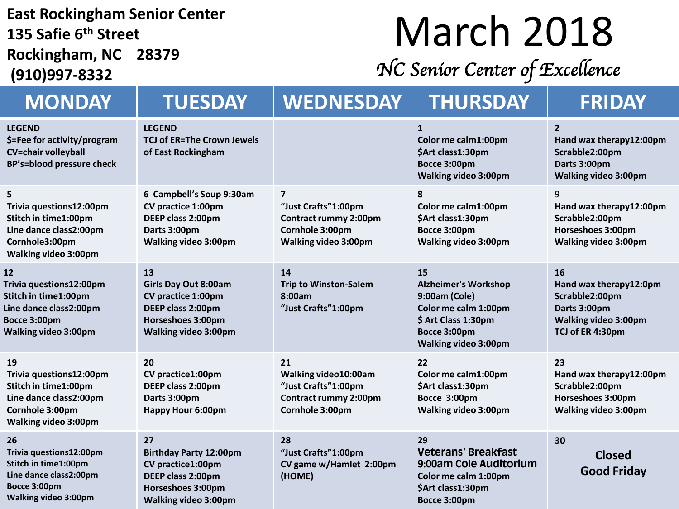#### **East Rockingham Senior Center 135 Safie 6th Street Rockingham, NC 28379**

**(910)997-8332**

## March 2018

*NC Senior Center of Excellence* 

| <b>MONDAY</b>                                                                                                                     | <b>TUESDAY</b>                                                                                                                          | <b>WEDNESDAY</b>                                                                                                 | <b>THURSDAY</b>                                                                                                                                  | <b>FRIDAY</b>                                                                                                     |
|-----------------------------------------------------------------------------------------------------------------------------------|-----------------------------------------------------------------------------------------------------------------------------------------|------------------------------------------------------------------------------------------------------------------|--------------------------------------------------------------------------------------------------------------------------------------------------|-------------------------------------------------------------------------------------------------------------------|
| <b>LEGEND</b><br>\$=Fee for activity/program<br><b>CV=chair volleyball</b><br>BP's=blood pressure check                           | <b>LEGEND</b><br><b>TCJ of ER=The Crown Jewels</b><br>of East Rockingham                                                                |                                                                                                                  | $\mathbf{1}$<br>Color me calm1:00pm<br>\$Art class1:30pm<br>Bocce 3:00pm<br><b>Walking video 3:00pm</b>                                          | $\overline{2}$<br>Hand wax therapy12:00pm<br>Scrabble2:00pm<br>Darts 3:00pm<br><b>Walking video 3:00pm</b>        |
| 5<br>Trivia questions12:00pm<br>Stitch in time1:00pm<br>Line dance class2:00pm<br>Cornhole3:00pm<br><b>Walking video 3:00pm</b>   | 6 Campbell's Soup 9:30am<br>CV practice 1:00pm<br>DEEP class 2:00pm<br>Darts 3:00pm<br>Walking video 3:00pm                             | $\overline{ }$<br>"Just Crafts"1:00pm<br><b>Contract rummy 2:00pm</b><br>Cornhole 3:00pm<br>Walking video 3:00pm | 8<br>Color me calm1:00pm<br>\$Art class1:30pm<br>Bocce 3:00pm<br><b>Walking video 3:00pm</b>                                                     | 9<br>Hand wax therapy12:00pm<br>Scrabble2:00pm<br>Horseshoes 3:00pm<br>Walking video 3:00pm                       |
| 12<br>Trivia questions12:00pm<br>Stitch in time1:00pm<br>Line dance class2:00pm<br>Bocce 3:00pm<br><b>Walking video 3:00pm</b>    | 13<br><b>Girls Day Out 8:00am</b><br><b>CV practice 1:00pm</b><br>DEEP class 2:00pm<br>Horseshoes 3:00pm<br><b>Walking video 3:00pm</b> | 14<br><b>Trip to Winston-Salem</b><br>8:00am<br>"Just Crafts"1:00pm                                              | 15<br><b>Alzheimer's Workshop</b><br>9:00am (Cole)<br>Color me calm 1:00pm<br>\$ Art Class 1:30pm<br>Bocce 3:00pm<br><b>Walking video 3:00pm</b> | 16<br>Hand wax therapy12:0pm<br>Scrabble2:00pm<br>Darts 3:00pm<br><b>Walking video 3:00pm</b><br>TCJ of ER 4:30pm |
| 19<br>Trivia questions12:00pm<br>Stitch in time1:00pm<br>Line dance class2:00pm<br>Cornhole 3:00pm<br><b>Walking video 3:00pm</b> | 20<br>CV practice1:00pm<br>DEEP class 2:00pm<br>Darts 3:00pm<br><b>Happy Hour 6:00pm</b>                                                | 21<br>Walking video10:00am<br>"Just Crafts"1:00pm<br><b>Contract rummy 2:00pm</b><br>Cornhole 3:00pm             | 22<br>Color me calm1:00pm<br>\$Art class1:30pm<br>Bocce 3:00pm<br><b>Walking video 3:00pm</b>                                                    | 23<br>Hand wax therapy12:00pm<br>Scrabble2:00pm<br>Horseshoes 3:00pm<br><b>Walking video 3:00pm</b>               |
| 26<br>Trivia questions12:00pm<br>Stitch in time1:00pm<br>Line dance class2:00pm<br>Bocce 3:00pm<br><b>Walking video 3:00pm</b>    | 27<br><b>Birthday Party 12:00pm</b><br>CV practice1:00pm<br>DEEP class 2:00pm<br>Horseshoes 3:00pm<br><b>Walking video 3:00pm</b>       | 28<br>"Just Crafts"1:00pm<br>CV game w/Hamlet 2:00pm<br>(HOME)                                                   | 29<br><b>Veterans' Breakfast</b><br>9:00am Cole Auditorium<br>Color me calm 1:00pm<br>\$Art class1:30pm<br>Bocce 3:00pm                          | 30<br><b>Closed</b><br><b>Good Friday</b>                                                                         |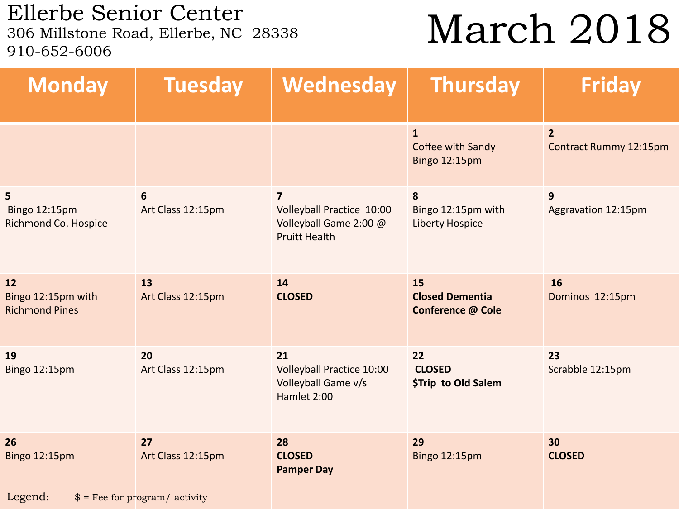Ellerbe Senior Center<br>306 Millstone Road, Ellerbe, NC 28338 910-652-6006

### March 2018

| <b>Monday</b>                                            | <b>Tuesday</b>                                             | Wednesday                                                                                     | <b>Thursday</b>                                    | <b>Friday</b>                            |
|----------------------------------------------------------|------------------------------------------------------------|-----------------------------------------------------------------------------------------------|----------------------------------------------------|------------------------------------------|
|                                                          |                                                            |                                                                                               | $\mathbf{1}$<br>Coffee with Sandy<br>Bingo 12:15pm | $\overline{2}$<br>Contract Rummy 12:15pm |
| 5<br><b>Bingo 12:15pm</b><br><b>Richmond Co. Hospice</b> | 6<br>Art Class 12:15pm                                     | $\overline{7}$<br>Volleyball Practice 10:00<br>Volleyball Game 2:00 @<br><b>Pruitt Health</b> | 8<br>Bingo 12:15pm with<br><b>Liberty Hospice</b>  | 9<br>Aggravation 12:15pm                 |
| 12<br>Bingo 12:15pm with<br><b>Richmond Pines</b>        | 13<br>Art Class 12:15pm                                    | 14<br><b>CLOSED</b>                                                                           | 15<br><b>Closed Dementia</b><br>Conference @ Cole  | 16<br>Dominos 12:15pm                    |
| 19<br>Bingo 12:15pm                                      | 20<br>Art Class 12:15pm                                    | 21<br><b>Volleyball Practice 10:00</b><br>Volleyball Game v/s<br>Hamlet 2:00                  | 22<br><b>CLOSED</b><br>\$Trip to Old Salem         | 23<br>Scrabble 12:15pm                   |
| 26<br>Bingo 12:15pm<br>Legend:                           | 27<br>Art Class 12:15pm<br>$$ =$ Fee for program/ activity | 28<br><b>CLOSED</b><br><b>Pamper Day</b>                                                      | 29<br><b>Bingo 12:15pm</b>                         | 30<br><b>CLOSED</b>                      |